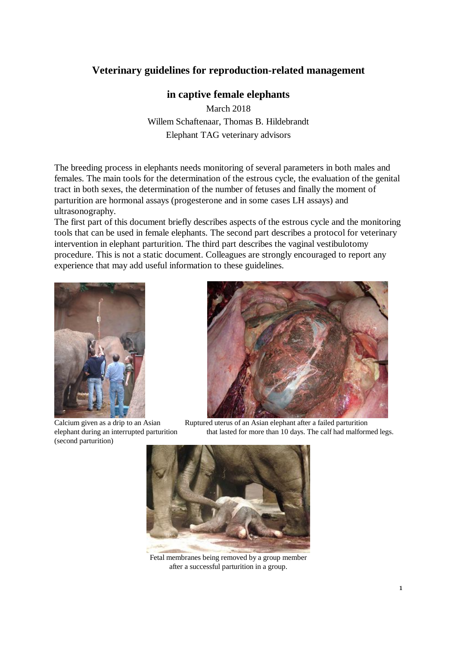# **Veterinary guidelines for reproduction-related management**

## **in captive female elephants**

March 2018 Willem Schaftenaar, Thomas B. Hildebrandt Elephant TAG veterinary advisors

The breeding process in elephants needs monitoring of several parameters in both males and females. The main tools for the determination of the estrous cycle, the evaluation of the genital tract in both sexes, the determination of the number of fetuses and finally the moment of parturition are hormonal assays (progesterone and in some cases LH assays) and ultrasonography.

The first part of this document briefly describes aspects of the estrous cycle and the monitoring tools that can be used in female elephants. The second part describes a protocol for veterinary intervention in elephant parturition. The third part describes the vaginal vestibulotomy procedure. This is not a static document. Colleagues are strongly encouraged to report any experience that may add useful information to these guidelines.



Calcium given as a drip to an Asian (second parturition)



Ruptured uterus of an Asian elephant after a failed parturition elephant during an interrupted parturition that lasted for more than 10 days. The calf had malformed legs.



Fetal membranes being removed by a group member after a successful parturition in a group.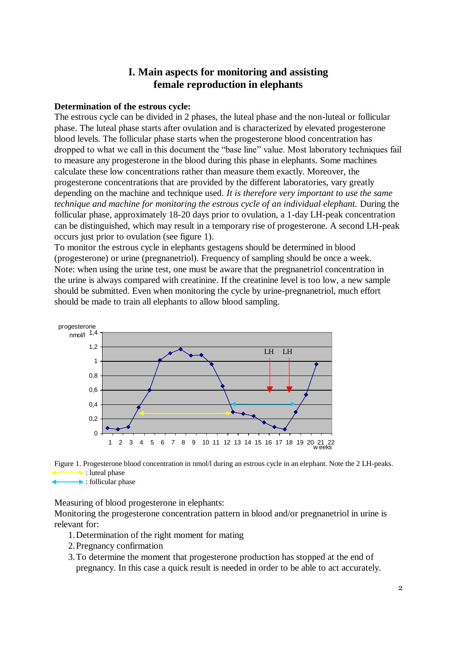## **I. Main aspects for monitoring and assisting female reproduction in elephants**

#### **Determination of the estrous cycle:**

The estrous cycle can be divided in 2 phases, the luteal phase and the non-luteal or follicular phase. The luteal phase starts after ovulation and is characterized by elevated progesterone blood levels. The follicular phase starts when the progesterone blood concentration has dropped to what we call in this document the "base line" value. Most laboratory techniques fail to measure any progesterone in the blood during this phase in elephants. Some machines calculate these low concentrations rather than measure them exactly. Moreover, the progesterone concentrations that are provided by the different laboratories, vary greatly depending on the machine and technique used. *It is therefore very important to use the same technique and machine for monitoring the estrous cycle of an individual elephant.* During the follicular phase, approximately 18-20 days prior to ovulation, a 1-day LH-peak concentration can be distinguished, which may result in a temporary rise of progesterone. A second LH-peak occurs just prior to ovulation (see figure 1).

To monitor the estrous cycle in elephants gestagens should be determined in blood (progesterone) or urine (pregnanetriol). Frequency of sampling should be once a week. Note: when using the urine test, one must be aware that the pregnanetriol concentration in the urine is always compared with creatinine. If the creatinine level is too low, a new sample should be submitted. Even when monitoring the cycle by urine-pregnanetriol, much effort should be made to train all elephants to allow blood sampling.





Measuring of blood progesterone in elephants:

Monitoring the progesterone concentration pattern in blood and/or pregnanetriol in urine is relevant for:

- 1.Determination of the right moment for mating
- 2.Pregnancy confirmation
- 3.To determine the moment that progesterone production has stopped at the end of pregnancy. In this case a quick result is needed in order to be able to act accurately.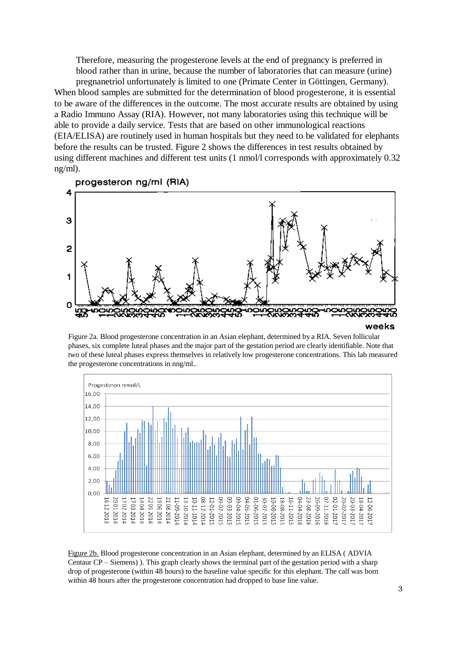Therefore, measuring the progesterone levels at the end of pregnancy is preferred in blood rather than in urine, because the number of laboratories that can measure (urine) pregnanetriol unfortunately is limited to one (Primate Center in Göttingen, Germany). When blood samples are submitted for the determination of blood progesterone, it is essential to be aware of the differences in the outcome. The most accurate results are obtained by using a Radio Immuno Assay (RIA). However, not many laboratories using this technique will be able to provide a daily service. Tests that are based on other immunological reactions (EIA/ELISA) are routinely used in human hospitals but they need to be validated for elephants before the results can be trusted. Figure 2 shows the differences in test results obtained by using different machines and different test units (1 nmol/l corresponds with approximately 0.32 ng/ml).



Figure 2a. Blood progesterone concentration in an Asian elephant, determined by a RIA. Seven follicular phases, six complete luteal phases and the major part of the gestation period are clearly identifiable. Note that two of these luteal phases express themselves in relatively low progesterone concentrations. This lab measured the progesterone concentrations in nng/ml..



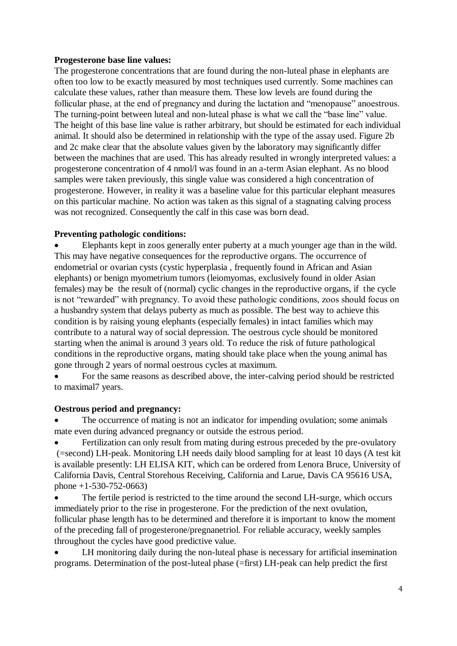#### **Progesterone base line values:**

The progesterone concentrations that are found during the non-luteal phase in elephants are often too low to be exactly measured by most techniques used currently. Some machines can calculate these values, rather than measure them. These low levels are found during the follicular phase, at the end of pregnancy and during the lactation and "menopause" anoestrous. The turning-point between luteal and non-luteal phase is what we call the "base line" value. The height of this base line value is rather arbitrary, but should be estimated for each individual animal. It should also be determined in relationship with the type of the assay used. Figure 2b and 2c make clear that the absolute values given by the laboratory may significantly differ between the machines that are used. This has already resulted in wrongly interpreted values: a progesterone concentration of 4 nmol/l was found in an a-term Asian elephant. As no blood samples were taken previously, this single value was considered a high concentration of progesterone. However, in reality it was a baseline value for this particular elephant measures on this particular machine. No action was taken as this signal of a stagnating calving process was not recognized. Consequently the calf in this case was born dead.

## **Preventing pathologic conditions:**

 Elephants kept in zoos generally enter puberty at a much younger age than in the wild. This may have negative consequences for the reproductive organs. The occurrence of endometrial or ovarian cysts (cystic hyperplasia , frequently found in African and Asian elephants) or benign myometrium tumors (leiomyomas, exclusively found in older Asian females) may be the result of (normal) cyclic changes in the reproductive organs, if the cycle is not "rewarded" with pregnancy. To avoid these pathologic conditions, zoos should focus on a husbandry system that delays puberty as much as possible. The best way to achieve this condition is by raising young elephants (especially females) in intact families which may contribute to a natural way of social depression. The oestrous cycle should be monitored starting when the animal is around 3 years old. To reduce the risk of future pathological conditions in the reproductive organs, mating should take place when the young animal has gone through 2 years of normal oestrous cycles at maximum.

• For the same reasons as described above, the inter-calving period should be restricted to maximal7 years.

## **Oestrous period and pregnancy:**

 The occurrence of mating is not an indicator for impending ovulation; some animals mate even during advanced pregnancy or outside the estrous period.

 Fertilization can only result from mating during estrous preceded by the pre-ovulatory (=second) LH-peak. Monitoring LH needs daily blood sampling for at least 10 days (A test kit is available presently: LH ELISA KIT, which can be ordered from Lenora Bruce, University of California Davis, Central Storehous Receiving, California and Larue, Davis CA 95616 USA, phone +1-530-752-0663)

• The fertile period is restricted to the time around the second LH-surge, which occurs immediately prior to the rise in progesterone. For the prediction of the next ovulation, follicular phase length has to be determined and therefore it is important to know the moment of the preceding fall of progesterone/pregnanetriol. For reliable accuracy, weekly samples throughout the cycles have good predictive value.

 LH monitoring daily during the non-luteal phase is necessary for artificial insemination programs. Determination of the post-luteal phase (=first) LH-peak can help predict the first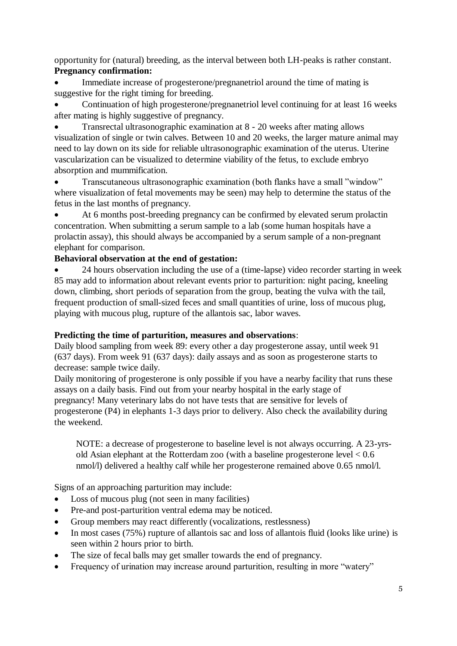opportunity for (natural) breeding, as the interval between both LH-peaks is rather constant. **Pregnancy confirmation:**

 Immediate increase of progesterone/pregnanetriol around the time of mating is suggestive for the right timing for breeding.

 Continuation of high progesterone/pregnanetriol level continuing for at least 16 weeks after mating is highly suggestive of pregnancy.

 Transrectal ultrasonographic examination at 8 - 20 weeks after mating allows visualization of single or twin calves. Between 10 and 20 weeks, the larger mature animal may need to lay down on its side for reliable ultrasonographic examination of the uterus. Uterine vascularization can be visualized to determine viability of the fetus, to exclude embryo absorption and mummification.

 Transcutaneous ultrasonographic examination (both flanks have a small "window" where visualization of fetal movements may be seen) may help to determine the status of the fetus in the last months of pregnancy.

 At 6 months post-breeding pregnancy can be confirmed by elevated serum prolactin concentration. When submitting a serum sample to a lab (some human hospitals have a prolactin assay), this should always be accompanied by a serum sample of a non-pregnant elephant for comparison.

## **Behavioral observation at the end of gestation:**

 24 hours observation including the use of a (time-lapse) video recorder starting in week 85 may add to information about relevant events prior to parturition: night pacing, kneeling down, climbing, short periods of separation from the group, beating the vulva with the tail, frequent production of small-sized feces and small quantities of urine, loss of mucous plug, playing with mucous plug, rupture of the allantois sac, labor waves.

## **Predicting the time of parturition, measures and observations**:

Daily blood sampling from week 89: every other a day progesterone assay, until week 91 (637 days). From week 91 (637 days): daily assays and as soon as progesterone starts to decrease: sample twice daily.

Daily monitoring of progesterone is only possible if you have a nearby facility that runs these assays on a daily basis. Find out from your nearby hospital in the early stage of pregnancy! Many veterinary labs do not have tests that are sensitive for levels of progesterone (P4) in elephants 1-3 days prior to delivery. Also check the availability during the weekend.

NOTE: a decrease of progesterone to baseline level is not always occurring. A 23-yrsold Asian elephant at the Rotterdam zoo (with a baseline progesterone level < 0.6 nmol/l) delivered a healthy calf while her progesterone remained above 0.65 nmol/l.

Signs of an approaching parturition may include:

- Loss of mucous plug (not seen in many facilities)
- Pre-and post-parturition ventral edema may be noticed.
- Group members may react differently (vocalizations, restlessness)
- In most cases (75%) rupture of allantois sac and loss of allantois fluid (looks like urine) is seen within 2 hours prior to birth.
- The size of fecal balls may get smaller towards the end of pregnancy.
- Frequency of urination may increase around parturition, resulting in more "watery"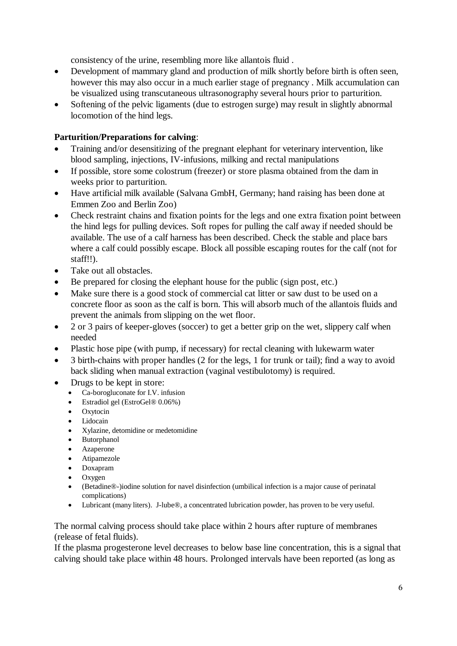consistency of the urine, resembling more like allantois fluid .

- Development of mammary gland and production of milk shortly before birth is often seen, however this may also occur in a much earlier stage of pregnancy . Milk accumulation can be visualized using transcutaneous ultrasonography several hours prior to parturition.
- Softening of the pelvic ligaments (due to estrogen surge) may result in slightly abnormal locomotion of the hind legs.

## **Parturition/Preparations for calving**:

- Training and/or desensitizing of the pregnant elephant for veterinary intervention, like blood sampling, injections, IV-infusions, milking and rectal manipulations
- If possible, store some colostrum (freezer) or store plasma obtained from the dam in weeks prior to parturition.
- Have artificial milk available (Salvana GmbH, Germany; hand raising has been done at Emmen Zoo and Berlin Zoo)
- Check restraint chains and fixation points for the legs and one extra fixation point between the hind legs for pulling devices. Soft ropes for pulling the calf away if needed should be available. The use of a calf harness has been described. Check the stable and place bars where a calf could possibly escape. Block all possible escaping routes for the calf (not for staff!!).
- Take out all obstacles.
- Be prepared for closing the elephant house for the public (sign post, etc.)
- Make sure there is a good stock of commercial cat litter or saw dust to be used on a concrete floor as soon as the calf is born. This will absorb much of the allantois fluids and prevent the animals from slipping on the wet floor.
- 2 or 3 pairs of keeper-gloves (soccer) to get a better grip on the wet, slippery calf when needed
- Plastic hose pipe (with pump, if necessary) for rectal cleaning with lukewarm water
- 3 birth-chains with proper handles (2 for the legs, 1 for trunk or tail); find a way to avoid back sliding when manual extraction (vaginal vestibulotomy) is required.
- Drugs to be kept in store:
	- Ca-borogluconate for I.V. infusion
	- Estradiol gel (EstroGel® 0.06%)
	- Oxytocin
	- Lidocain
	- Xylazine, detomidine or medetomidine
	- Butorphanol
	- Azaperone
	- Atipamezole
	- Doxapram
	- Oxygen
	- (Betadine®-)iodine solution for navel disinfection (umbilical infection is a major cause of perinatal complications)
	- Lubricant (many liters). J-lube®, a concentrated lubrication powder, has proven to be very useful.

## The normal calving process should take place within 2 hours after rupture of membranes (release of fetal fluids).

If the plasma progesterone level decreases to below base line concentration, this is a signal that calving should take place within 48 hours. Prolonged intervals have been reported (as long as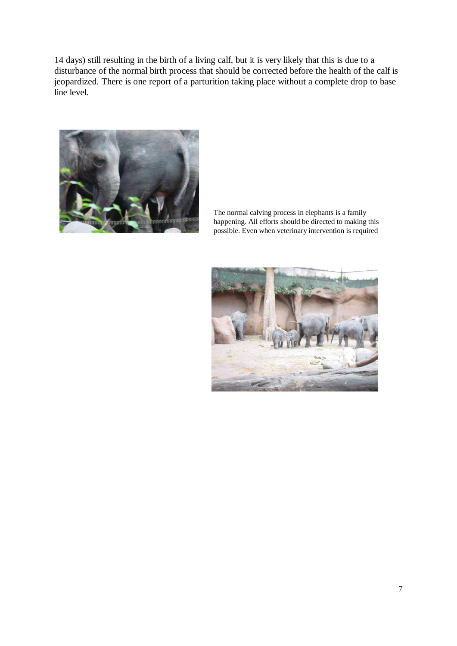14 days) still resulting in the birth of a living calf, but it is very likely that this is due to a disturbance of the normal birth process that should be corrected before the health of the calf is jeopardized. There is one report of a parturition taking place without a complete drop to base line level.



The normal calving process in elephants is a family happening. All efforts should be directed to making this possible. Even when veterinary intervention is required

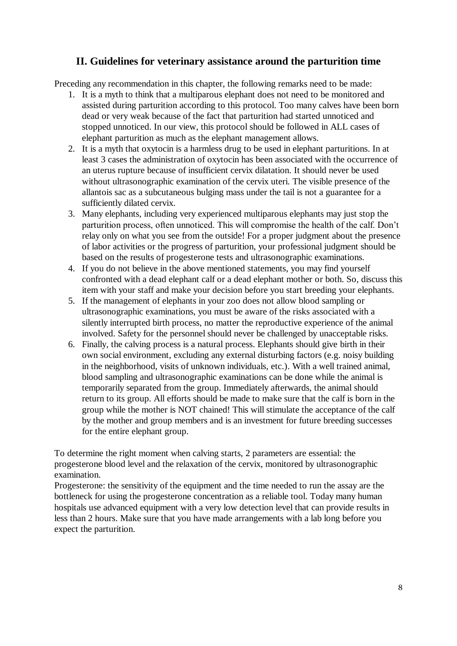## **II. Guidelines for veterinary assistance around the parturition time**

Preceding any recommendation in this chapter, the following remarks need to be made:

- 1. It is a myth to think that a multiparous elephant does not need to be monitored and assisted during parturition according to this protocol. Too many calves have been born dead or very weak because of the fact that parturition had started unnoticed and stopped unnoticed. In our view, this protocol should be followed in ALL cases of elephant parturition as much as the elephant management allows.
- 2. It is a myth that oxytocin is a harmless drug to be used in elephant parturitions. In at least 3 cases the administration of oxytocin has been associated with the occurrence of an uterus rupture because of insufficient cervix dilatation. It should never be used without ultrasonographic examination of the cervix uteri. The visible presence of the allantois sac as a subcutaneous bulging mass under the tail is not a guarantee for a sufficiently dilated cervix.
- 3. Many elephants, including very experienced multiparous elephants may just stop the parturition process, often unnoticed. This will compromise the health of the calf. Don't relay only on what you see from the outside! For a proper judgment about the presence of labor activities or the progress of parturition, your professional judgment should be based on the results of progesterone tests and ultrasonographic examinations.
- 4. If you do not believe in the above mentioned statements, you may find yourself confronted with a dead elephant calf or a dead elephant mother or both. So, discuss this item with your staff and make your decision before you start breeding your elephants.
- 5. If the management of elephants in your zoo does not allow blood sampling or ultrasonographic examinations, you must be aware of the risks associated with a silently interrupted birth process, no matter the reproductive experience of the animal involved. Safety for the personnel should never be challenged by unacceptable risks.
- 6. Finally, the calving process is a natural process. Elephants should give birth in their own social environment, excluding any external disturbing factors (e.g. noisy building in the neighborhood, visits of unknown individuals, etc.). With a well trained animal, blood sampling and ultrasonographic examinations can be done while the animal is temporarily separated from the group. Immediately afterwards, the animal should return to its group. All efforts should be made to make sure that the calf is born in the group while the mother is NOT chained! This will stimulate the acceptance of the calf by the mother and group members and is an investment for future breeding successes for the entire elephant group.

To determine the right moment when calving starts, 2 parameters are essential: the progesterone blood level and the relaxation of the cervix, monitored by ultrasonographic examination.

Progesterone: the sensitivity of the equipment and the time needed to run the assay are the bottleneck for using the progesterone concentration as a reliable tool. Today many human hospitals use advanced equipment with a very low detection level that can provide results in less than 2 hours. Make sure that you have made arrangements with a lab long before you expect the parturition.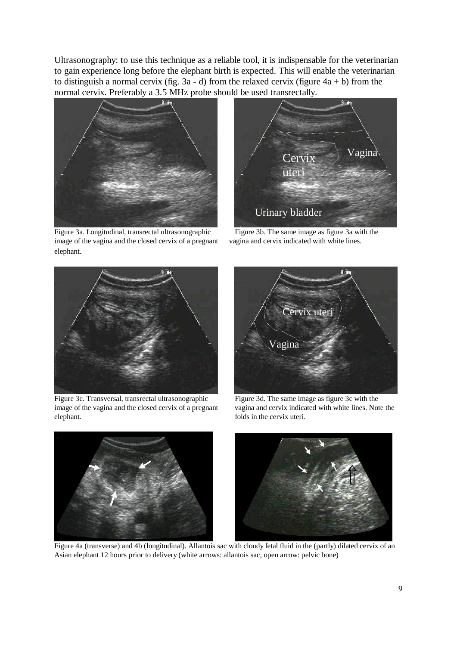Ultrasonography: to use this technique as a reliable tool, it is indispensable for the veterinarian to gain experience long before the elephant birth is expected. This will enable the veterinarian to distinguish a normal cervix (fig.  $3a - d$ ) from the relaxed cervix (figure  $4a + b$ ) from the normal cervix. Preferably a 3.5 MHz probe should be used transrectally.



Figure 3a. Longitudinal, transrectal ultrasonographic Figure 3b. The same image as figure 3a with the image of the vagina and the closed cervix of a pregnant vagina and cervix indicated with white lines. elephant.





 $\parallel$ Figure 3c. Transversal, transrectal ultrasonographic Figure 3d. The same image as figure 3c with the image of the vagina and the closed cervix of a pregnant vagina and cervix indicated with white lines. Note the image of the vagina and the closed cervix of a pregnant elephant. **folds** in the cervix uteri.





Figure 4a (transverse) and 4b (longitudinal). Allantois sac with cloudy fetal fluid in the (partly) dilated cervix of an Asian elephant 12 hours prior to delivery (white arrows: allantois sac, open arrow: pelvic bone)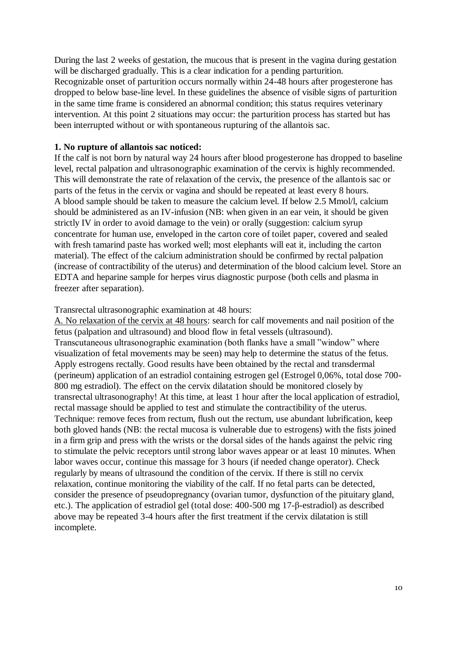During the last 2 weeks of gestation, the mucous that is present in the vagina during gestation will be discharged gradually. This is a clear indication for a pending parturition. Recognizable onset of parturition occurs normally within 24-48 hours after progesterone has dropped to below base-line level. In these guidelines the absence of visible signs of parturition in the same time frame is considered an abnormal condition; this status requires veterinary intervention. At this point 2 situations may occur: the parturition process has started but has been interrupted without or with spontaneous rupturing of the allantois sac.

#### **1. No rupture of allantois sac noticed:**

If the calf is not born by natural way 24 hours after blood progesterone has dropped to baseline level, rectal palpation and ultrasonographic examination of the cervix is highly recommended. This will demonstrate the rate of relaxation of the cervix, the presence of the allantois sac or parts of the fetus in the cervix or vagina and should be repeated at least every 8 hours. A blood sample should be taken to measure the calcium level. If below 2.5 Mmol/l, calcium should be administered as an IV-infusion (NB: when given in an ear vein, it should be given strictly IV in order to avoid damage to the vein) or orally (suggestion: calcium syrup concentrate for human use, enveloped in the carton core of toilet paper, covered and sealed with fresh tamarind paste has worked well; most elephants will eat it, including the carton material). The effect of the calcium administration should be confirmed by rectal palpation (increase of contractibility of the uterus) and determination of the blood calcium level. Store an EDTA and heparine sample for herpes virus diagnostic purpose (both cells and plasma in freezer after separation).

Transrectal ultrasonographic examination at 48 hours:

A. No relaxation of the cervix at 48 hours: search for calf movements and nail position of the fetus (palpation and ultrasound) and blood flow in fetal vessels (ultrasound). Transcutaneous ultrasonographic examination (both flanks have a small "window" where visualization of fetal movements may be seen) may help to determine the status of the fetus. Apply estrogens rectally. Good results have been obtained by the rectal and transdermal (perineum) application of an estradiol containing estrogen gel (Estrogel 0,06%, total dose 700- 800 mg estradiol). The effect on the cervix dilatation should be monitored closely by transrectal ultrasonography! At this time, at least 1 hour after the local application of estradiol, rectal massage should be applied to test and stimulate the contractibility of the uterus. Technique: remove feces from rectum, flush out the rectum, use abundant lubrification, keep both gloved hands (NB: the rectal mucosa is vulnerable due to estrogens) with the fists joined in a firm grip and press with the wrists or the dorsal sides of the hands against the pelvic ring to stimulate the pelvic receptors until strong labor waves appear or at least 10 minutes. When labor waves occur, continue this massage for 3 hours (if needed change operator). Check regularly by means of ultrasound the condition of the cervix. If there is still no cervix relaxation, continue monitoring the viability of the calf. If no fetal parts can be detected, consider the presence of pseudopregnancy (ovarian tumor, dysfunction of the pituitary gland, etc.). The application of estradiol gel (total dose: 400-500 mg 17-β-estradiol) as described above may be repeated 3-4 hours after the first treatment if the cervix dilatation is still incomplete.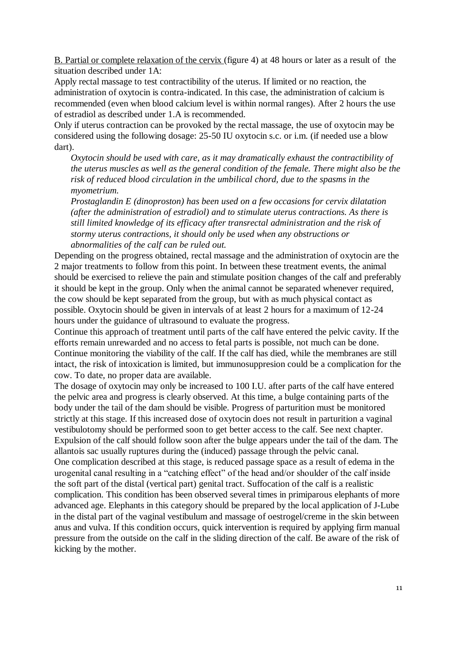B. Partial or complete relaxation of the cervix (figure 4) at 48 hours or later as a result of the situation described under 1A:

Apply rectal massage to test contractibility of the uterus. If limited or no reaction, the administration of oxytocin is contra-indicated. In this case, the administration of calcium is recommended (even when blood calcium level is within normal ranges). After 2 hours the use of estradiol as described under 1.A is recommended.

Only if uterus contraction can be provoked by the rectal massage, the use of oxytocin may be considered using the following dosage: 25-50 IU oxytocin s.c. or i.m. (if needed use a blow dart).

*Oxytocin should be used with care, as it may dramatically exhaust the contractibility of the uterus muscles as well as the general condition of the female. There might also be the risk of reduced blood circulation in the umbilical chord, due to the spasms in the myometrium.*

*Prostaglandin E (dinoproston) has been used on a few occasions for cervix dilatation (after the administration of estradiol) and to stimulate uterus contractions. As there is still limited knowledge of its efficacy after transrectal administration and the risk of stormy uterus contractions, it should only be used when any obstructions or abnormalities of the calf can be ruled out.*

Depending on the progress obtained, rectal massage and the administration of oxytocin are the 2 major treatments to follow from this point. In between these treatment events, the animal should be exercised to relieve the pain and stimulate position changes of the calf and preferably it should be kept in the group. Only when the animal cannot be separated whenever required, the cow should be kept separated from the group, but with as much physical contact as possible. Oxytocin should be given in intervals of at least 2 hours for a maximum of 12-24 hours under the guidance of ultrasound to evaluate the progress.

Continue this approach of treatment until parts of the calf have entered the pelvic cavity. If the efforts remain unrewarded and no access to fetal parts is possible, not much can be done. Continue monitoring the viability of the calf. If the calf has died, while the membranes are still intact, the risk of intoxication is limited, but immunosuppresion could be a complication for the cow. To date, no proper data are available.

The dosage of oxytocin may only be increased to 100 I.U. after parts of the calf have entered the pelvic area and progress is clearly observed. At this time, a bulge containing parts of the body under the tail of the dam should be visible. Progress of parturition must be monitored strictly at this stage. If this increased dose of oxytocin does not result in parturition a vaginal vestibulotomy should be performed soon to get better access to the calf. See next chapter. Expulsion of the calf should follow soon after the bulge appears under the tail of the dam. The allantois sac usually ruptures during the (induced) passage through the pelvic canal. One complication described at this stage, is reduced passage space as a result of edema in the urogenital canal resulting in a "catching effect" of the head and/or shoulder of the calf inside the soft part of the distal (vertical part) genital tract. Suffocation of the calf is a realistic complication. This condition has been observed several times in primiparous elephants of more advanced age. Elephants in this category should be prepared by the local application of J-Lube in the distal part of the vaginal vestibulum and massage of oestrogel/creme in the skin between anus and vulva. If this condition occurs, quick intervention is required by applying firm manual pressure from the outside on the calf in the sliding direction of the calf. Be aware of the risk of kicking by the mother.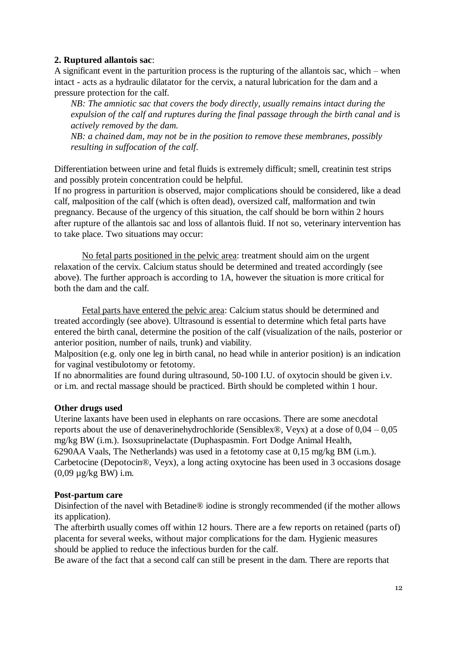#### **2. Ruptured allantois sac**:

A significant event in the parturition process is the rupturing of the allantois sac, which – when intact - acts as a hydraulic dilatator for the cervix, a natural lubrication for the dam and a pressure protection for the calf.

*NB: The amniotic sac that covers the body directly, usually remains intact during the expulsion of the calf and ruptures during the final passage through the birth canal and is actively removed by the dam.* 

*NB: a chained dam, may not be in the position to remove these membranes, possibly resulting in suffocation of the calf.* 

Differentiation between urine and fetal fluids is extremely difficult; smell, creatinin test strips and possibly protein concentration could be helpful.

If no progress in parturition is observed, major complications should be considered, like a dead calf, malposition of the calf (which is often dead), oversized calf, malformation and twin pregnancy. Because of the urgency of this situation, the calf should be born within 2 hours after rupture of the allantois sac and loss of allantois fluid. If not so, veterinary intervention has to take place. Two situations may occur:

No fetal parts positioned in the pelvic area: treatment should aim on the urgent relaxation of the cervix. Calcium status should be determined and treated accordingly (see above). The further approach is according to 1A, however the situation is more critical for both the dam and the calf.

Fetal parts have entered the pelvic area: Calcium status should be determined and treated accordingly (see above). Ultrasound is essential to determine which fetal parts have entered the birth canal, determine the position of the calf (visualization of the nails, posterior or anterior position, number of nails, trunk) and viability.

Malposition (e.g. only one leg in birth canal, no head while in anterior position) is an indication for vaginal vestibulotomy or fetotomy.

If no abnormalities are found during ultrasound, 50-100 I.U. of oxytocin should be given i.v. or i.m. and rectal massage should be practiced. Birth should be completed within 1 hour.

#### **Other drugs used**

Uterine laxants have been used in elephants on rare occasions. There are some anecdotal reports about the use of denaverinehydrochloride (Sensiblex®, Veyx) at a dose of  $0.04 - 0.05$ mg/kg BW (i.m.). Isoxsuprinelactate (Duphaspasmin. Fort Dodge Animal Health, 6290AA Vaals, The Netherlands) was used in a fetotomy case at 0,15 mg/kg BM (i.m.). Carbetocine (Depotocin®, Veyx), a long acting oxytocine has been used in 3 occasions dosage (0,09 µg/kg BW) i.m.

#### **Post-partum care**

Disinfection of the navel with Betadine® iodine is strongly recommended (if the mother allows its application).

The afterbirth usually comes off within 12 hours. There are a few reports on retained (parts of) placenta for several weeks, without major complications for the dam. Hygienic measures should be applied to reduce the infectious burden for the calf.

Be aware of the fact that a second calf can still be present in the dam. There are reports that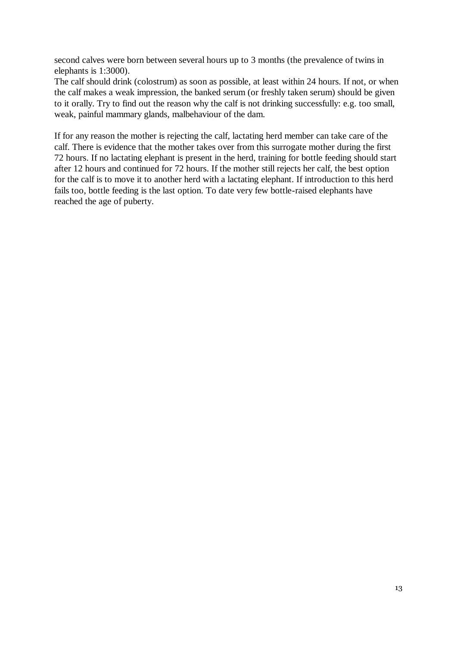second calves were born between several hours up to 3 months (the prevalence of twins in elephants is 1:3000).

The calf should drink (colostrum) as soon as possible, at least within 24 hours. If not, or when the calf makes a weak impression, the banked serum (or freshly taken serum) should be given to it orally. Try to find out the reason why the calf is not drinking successfully: e.g. too small, weak, painful mammary glands, malbehaviour of the dam.

If for any reason the mother is rejecting the calf, lactating herd member can take care of the calf. There is evidence that the mother takes over from this surrogate mother during the first 72 hours. If no lactating elephant is present in the herd, training for bottle feeding should start after 12 hours and continued for 72 hours. If the mother still rejects her calf, the best option for the calf is to move it to another herd with a lactating elephant. If introduction to this herd fails too, bottle feeding is the last option. To date very few bottle-raised elephants have reached the age of puberty.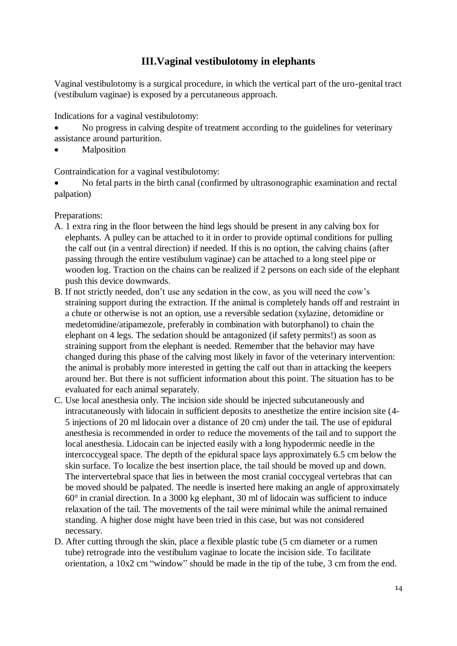# **III.Vaginal vestibulotomy in elephants**

Vaginal vestibulotomy is a surgical procedure, in which the vertical part of the uro-genital tract (vestibulum vaginae) is exposed by a percutaneous approach.

Indications for a vaginal vestibulotomy:

- No progress in calving despite of treatment according to the guidelines for veterinary assistance around parturition.
- Malposition

Contraindication for a vaginal vestibulotomy:

 No fetal parts in the birth canal (confirmed by ultrasonographic examination and rectal palpation)

Preparations:

- A. 1 extra ring in the floor between the hind legs should be present in any calving box for elephants. A pulley can be attached to it in order to provide optimal conditions for pulling the calf out (in a ventral direction) if needed. If this is no option, the calving chains (after passing through the entire vestibulum vaginae) can be attached to a long steel pipe or wooden log. Traction on the chains can be realized if 2 persons on each side of the elephant push this device downwards.
- B. If not strictly needed, don't use any sedation in the cow, as you will need the cow's straining support during the extraction. If the animal is completely hands off and restraint in a chute or otherwise is not an option, use a reversible sedation (xylazine, detomidine or medetomidine/atipamezole, preferably in combination with butorphanol) to chain the elephant on 4 legs. The sedation should be antagonized (if safety permits!) as soon as straining support from the elephant is needed. Remember that the behavior may have changed during this phase of the calving most likely in favor of the veterinary intervention: the animal is probably more interested in getting the calf out than in attacking the keepers around her. But there is not sufficient information about this point. The situation has to be evaluated for each animal separately.
- C. Use local anesthesia only. The incision side should be injected subcutaneously and intracutaneously with lidocain in sufficient deposits to anesthetize the entire incision site (4- 5 injections of 20 ml lidocain over a distance of 20 cm) under the tail. The use of epidural anesthesia is recommended in order to reduce the movements of the tail and to support the local anesthesia. Lidocain can be injected easily with a long hypodermic needle in the intercoccygeal space. The depth of the epidural space lays approximately 6.5 cm below the skin surface. To localize the best insertion place, the tail should be moved up and down. The intervertebral space that lies in between the most cranial coccygeal vertebras that can be moved should be palpated. The needle is inserted here making an angle of approximately 60° in cranial direction. In a 3000 kg elephant, 30 ml of lidocain was sufficient to induce relaxation of the tail. The movements of the tail were minimal while the animal remained standing. A higher dose might have been tried in this case, but was not considered necessary.
- D. After cutting through the skin, place a flexible plastic tube (5 cm diameter or a rumen tube) retrograde into the vestibulum vaginae to locate the incision side. To facilitate orientation, a 10x2 cm "window" should be made in the tip of the tube, 3 cm from the end.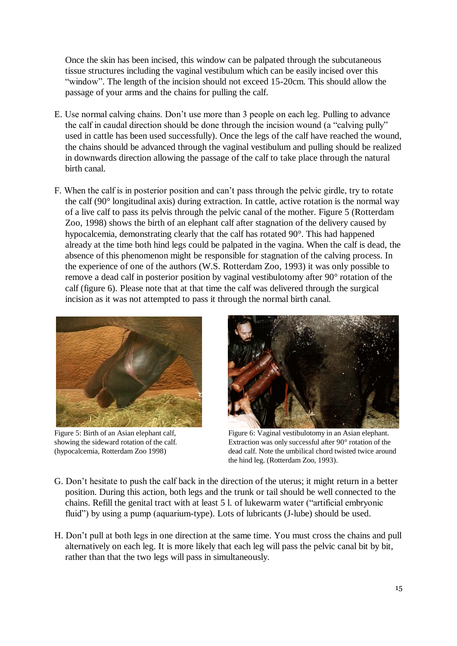Once the skin has been incised, this window can be palpated through the subcutaneous tissue structures including the vaginal vestibulum which can be easily incised over this "window". The length of the incision should not exceed 15-20cm. This should allow the passage of your arms and the chains for pulling the calf.

- E. Use normal calving chains. Don't use more than 3 people on each leg. Pulling to advance the calf in caudal direction should be done through the incision wound (a "calving pully" used in cattle has been used successfully). Once the legs of the calf have reached the wound, the chains should be advanced through the vaginal vestibulum and pulling should be realized in downwards direction allowing the passage of the calf to take place through the natural birth canal.
- F. When the calf is in posterior position and can't pass through the pelvic girdle, try to rotate the calf (90° longitudinal axis) during extraction. In cattle, active rotation is the normal way of a live calf to pass its pelvis through the pelvic canal of the mother. Figure 5 (Rotterdam Zoo, 1998) shows the birth of an elephant calf after stagnation of the delivery caused by hypocalcemia, demonstrating clearly that the calf has rotated 90°. This had happened already at the time both hind legs could be palpated in the vagina. When the calf is dead, the absence of this phenomenon might be responsible for stagnation of the calving process. In the experience of one of the authors (W.S. Rotterdam Zoo, 1993) it was only possible to remove a dead calf in posterior position by vaginal vestibulotomy after 90° rotation of the calf (figure 6). Please note that at that time the calf was delivered through the surgical incision as it was not attempted to pass it through the normal birth canal.





Figure 5: Birth of an Asian elephant calf, Figure 6: Vaginal vestibulotomy in an Asian elephant. showing the sideward rotation of the calf. Extraction was only successful after 90° rotation of the (hypocalcemia, Rotterdam Zoo 1998) dead calf. Note the umbilical chord twisted twice around the hind leg. (Rotterdam Zoo, 1993).

- G. Don't hesitate to push the calf back in the direction of the uterus; it might return in a better position. During this action, both legs and the trunk or tail should be well connected to the chains. Refill the genital tract with at least 5 l. of lukewarm water ("artificial embryonic fluid") by using a pump (aquarium-type). Lots of lubricants (J-lube) should be used.
- H. Don't pull at both legs in one direction at the same time. You must cross the chains and pull alternatively on each leg. It is more likely that each leg will pass the pelvic canal bit by bit, rather than that the two legs will pass in simultaneously.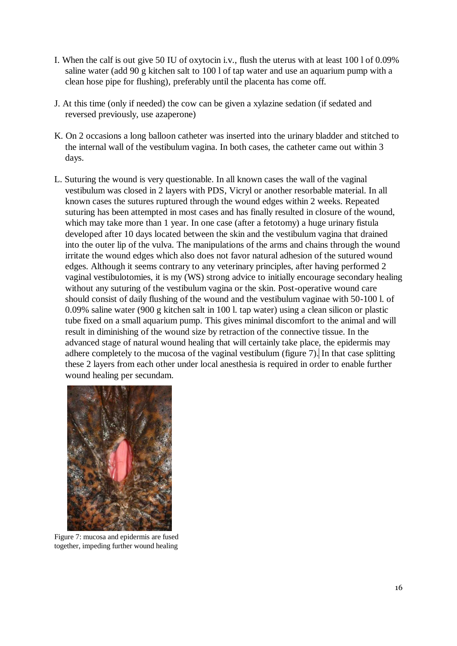- I. When the calf is out give 50 IU of oxytocin i.v., flush the uterus with at least 100 l of 0.09% saline water (add 90 g kitchen salt to 100 l of tap water and use an aquarium pump with a clean hose pipe for flushing), preferably until the placenta has come off.
- J. At this time (only if needed) the cow can be given a xylazine sedation (if sedated and reversed previously, use azaperone)
- K. On 2 occasions a long balloon catheter was inserted into the urinary bladder and stitched to the internal wall of the vestibulum vagina. In both cases, the catheter came out within 3 days.
- L. Suturing the wound is very questionable. In all known cases the wall of the vaginal vestibulum was closed in 2 layers with PDS, Vicryl or another resorbable material. In all known cases the sutures ruptured through the wound edges within 2 weeks. Repeated suturing has been attempted in most cases and has finally resulted in closure of the wound, which may take more than 1 year. In one case (after a fetotomy) a huge urinary fistula developed after 10 days located between the skin and the vestibulum vagina that drained into the outer lip of the vulva. The manipulations of the arms and chains through the wound irritate the wound edges which also does not favor natural adhesion of the sutured wound edges. Although it seems contrary to any veterinary principles, after having performed 2 vaginal vestibulotomies, it is my (WS) strong advice to initially encourage secondary healing without any suturing of the vestibulum vagina or the skin. Post-operative wound care should consist of daily flushing of the wound and the vestibulum vaginae with 50-100 l. of 0.09% saline water (900 g kitchen salt in 100 l. tap water) using a clean silicon or plastic tube fixed on a small aquarium pump. This gives minimal discomfort to the animal and will result in diminishing of the wound size by retraction of the connective tissue. In the advanced stage of natural wound healing that will certainly take place, the epidermis may adhere completely to the mucosa of the vaginal vestibulum (figure 7). In that case splitting these 2 layers from each other under local anesthesia is required in order to enable further wound healing per secundam.



Figure 7: mucosa and epidermis are fused together, impeding further wound healing